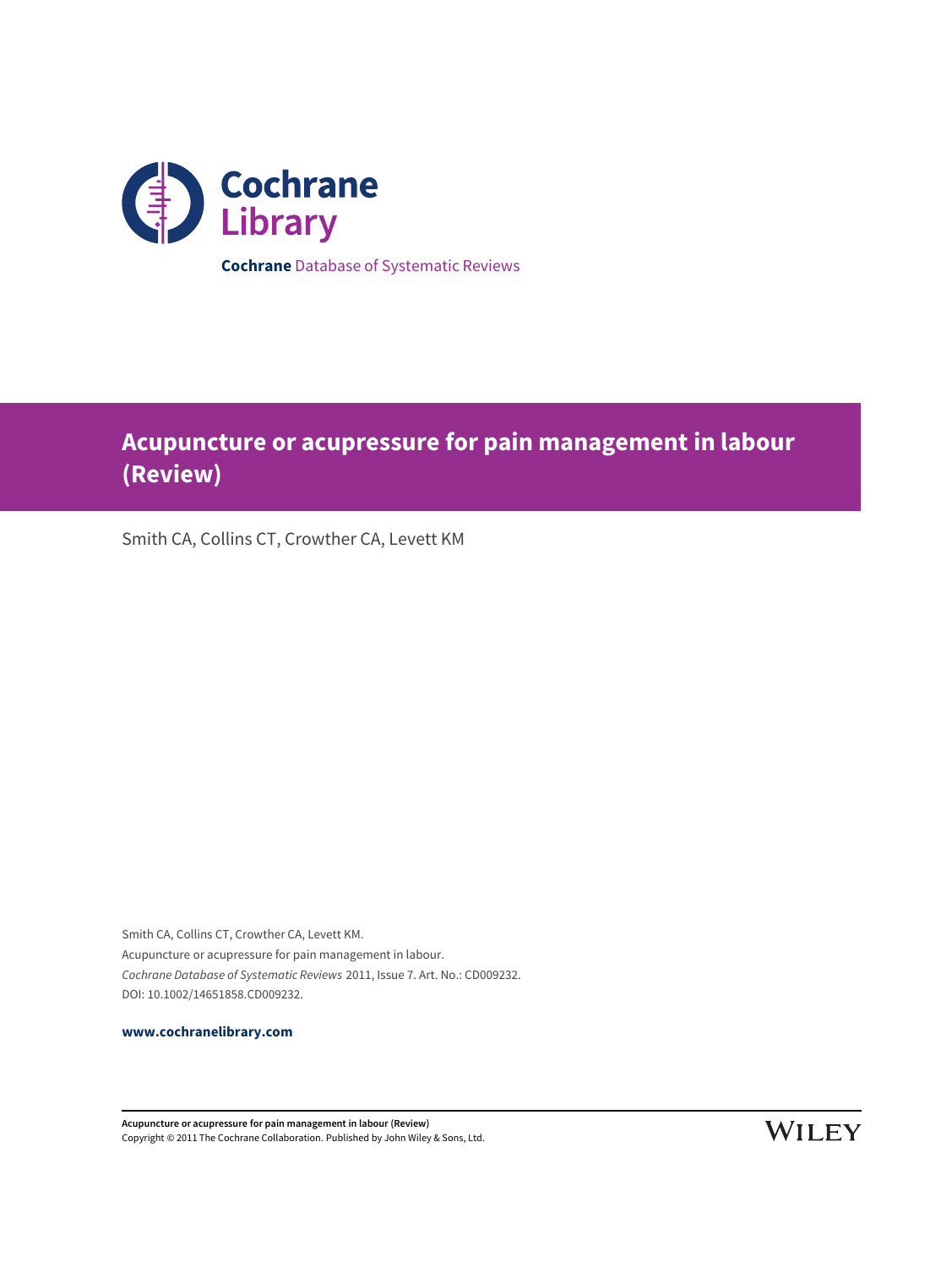

# **Acupuncture or acupressure for pain management in labour (Review)**

Smith CA, Collins CT, Crowther CA, Levett KM

Smith CA, Collins CT, Crowther CA, Levett KM. Acupuncture or acupressure for pain management in labour. Cochrane Database of Systematic Reviews 2011, Issue 7. Art. No.: CD009232. DOI: 10.1002/14651858.CD009232.

**[www.cochranelibrary.com](http://www.cochranelibrary.com)**

**Acupuncture or acupressure for pain management in labour (Review)** Copyright © 2011 The Cochrane Collaboration. Published by John Wiley & Sons, Ltd.

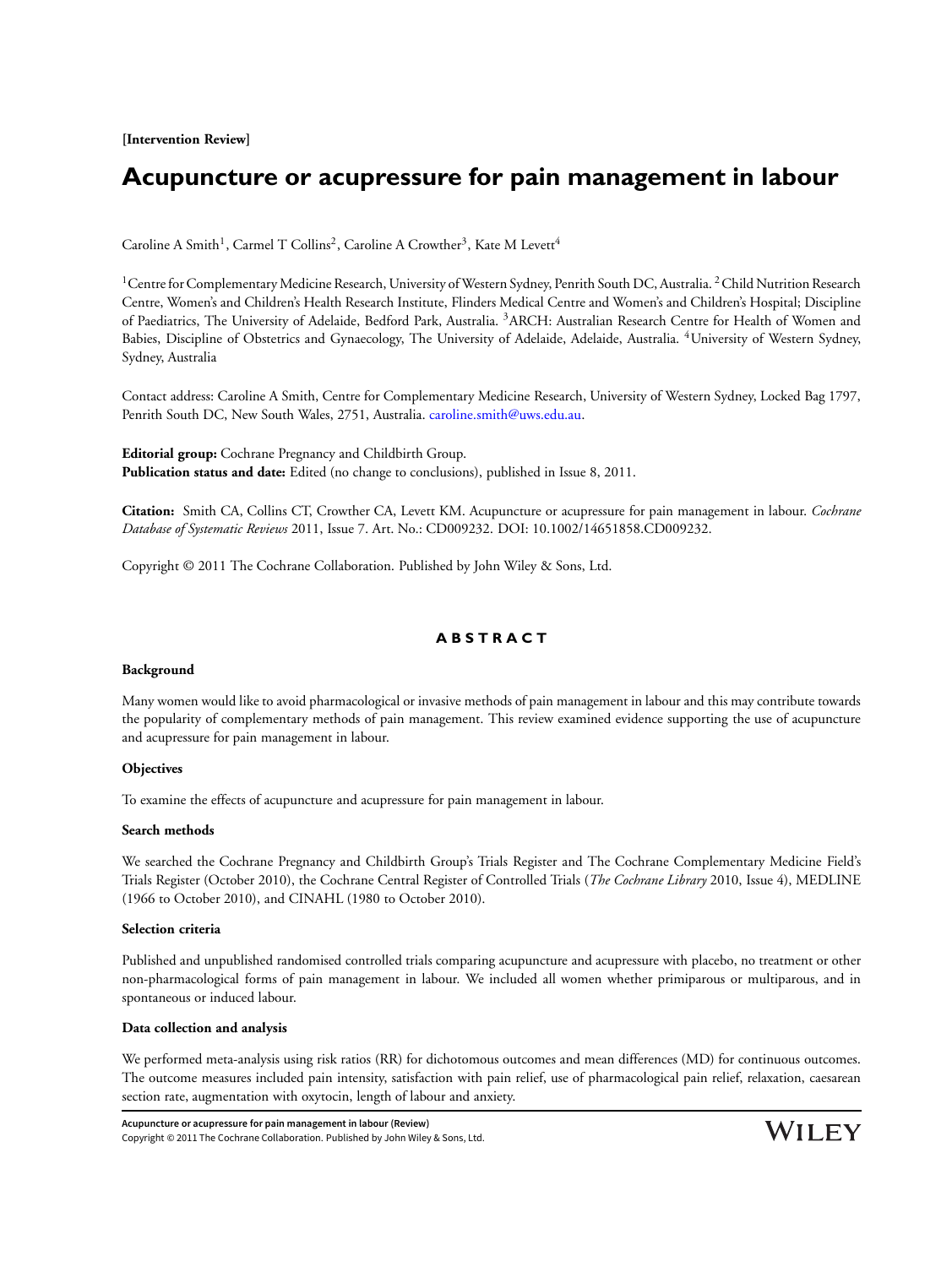**[Intervention Review]**

## **Acupuncture or acupressure for pain management in labour**

Caroline A Smith<sup>1</sup>, Carmel T Collins<sup>2</sup>, Caroline A Crowther<sup>3</sup>, Kate M Levett<sup>4</sup>

<sup>1</sup>Centre for Complementary Medicine Research, University of Western Sydney, Penrith South DC, Australia. <sup>2</sup>Child Nutrition Research Centre, Women's and Children's Health Research Institute, Flinders Medical Centre and Women's and Children's Hospital; Discipline of Paediatrics, The University of Adelaide, Bedford Park, Australia. <sup>3</sup>ARCH: Australian Research Centre for Health of Women and Babies, Discipline of Obstetrics and Gynaecology, The University of Adelaide, Adelaide, Australia. <sup>4</sup>University of Western Sydney, Sydney, Australia

Contact address: Caroline A Smith, Centre for Complementary Medicine Research, University of Western Sydney, Locked Bag 1797, Penrith South DC, New South Wales, 2751, Australia. [caroline.smith@uws.edu.au](mailto:caroline.smith@uws.edu.au).

**Editorial group:** Cochrane Pregnancy and Childbirth Group. **Publication status and date:** Edited (no change to conclusions), published in Issue 8, 2011.

**Citation:** Smith CA, Collins CT, Crowther CA, Levett KM. Acupuncture or acupressure for pain management in labour. *Cochrane Database of Systematic Reviews* 2011, Issue 7. Art. No.: CD009232. DOI: 10.1002/14651858.CD009232.

Copyright © 2011 The Cochrane Collaboration. Published by John Wiley & Sons, Ltd.

### **A B S T R A C T**

#### **Background**

Many women would like to avoid pharmacological or invasive methods of pain management in labour and this may contribute towards the popularity of complementary methods of pain management. This review examined evidence supporting the use of acupuncture and acupressure for pain management in labour.

#### **Objectives**

To examine the effects of acupuncture and acupressure for pain management in labour.

#### **Search methods**

We searched the Cochrane Pregnancy and Childbirth Group's Trials Register and The Cochrane Complementary Medicine Field's Trials Register (October 2010), the Cochrane Central Register of Controlled Trials (*The Cochrane Library* 2010, Issue 4), MEDLINE (1966 to October 2010), and CINAHL (1980 to October 2010).

#### **Selection criteria**

Published and unpublished randomised controlled trials comparing acupuncture and acupressure with placebo, no treatment or other non-pharmacological forms of pain management in labour. We included all women whether primiparous or multiparous, and in spontaneous or induced labour.

#### **Data collection and analysis**

We performed meta-analysis using risk ratios (RR) for dichotomous outcomes and mean differences (MD) for continuous outcomes. The outcome measures included pain intensity, satisfaction with pain relief, use of pharmacological pain relief, relaxation, caesarean section rate, augmentation with oxytocin, length of labour and anxiety.